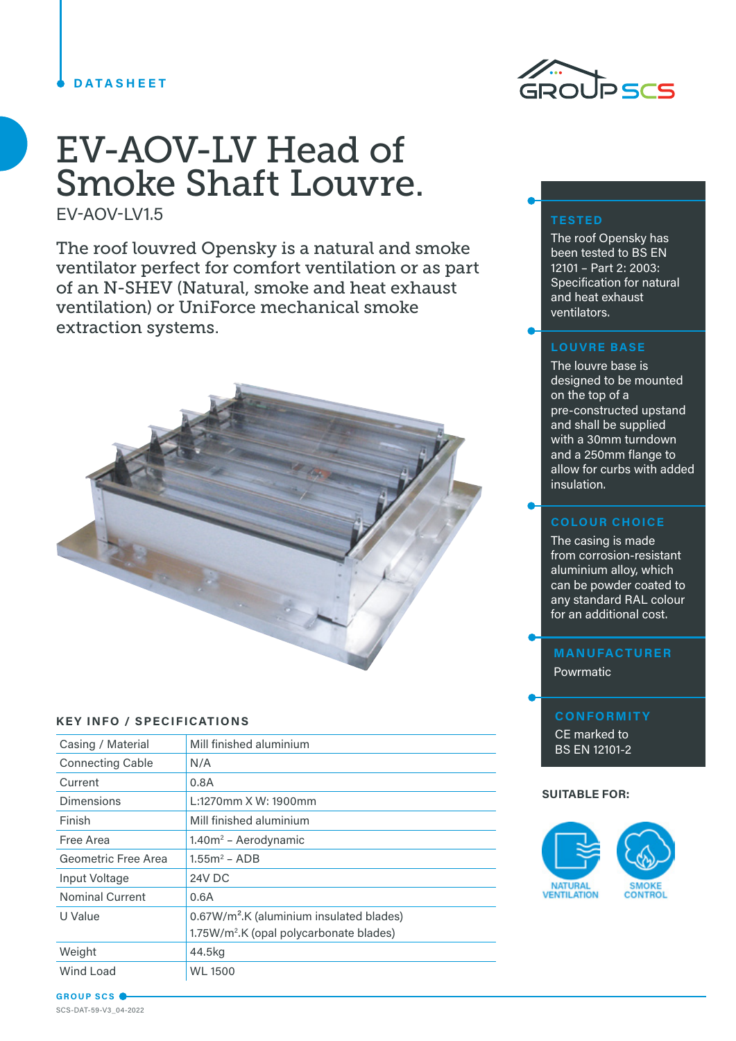### **DATASHEET**

# EV-AOV-LV Head of Smoke Shaft Louvre.

EV-AOV-LV1.5

The roof louvred Opensky is a natural and smoke ventilator perfect for comfort ventilation or as part of an N-SHEV (Natural, smoke and heat exhaust ventilation) or UniForce mechanical smoke extraction systems.



#### **KEY INFO / SPECIFICATIONS**

| Mill finished aluminium                                                                                     |
|-------------------------------------------------------------------------------------------------------------|
| N/A                                                                                                         |
| 0.8A                                                                                                        |
| L:1270mm X W: 1900mm                                                                                        |
| Mill finished aluminium                                                                                     |
| $1.40m2$ – Aerodynamic                                                                                      |
| $1.55m2 - ADB$                                                                                              |
| 24V DC                                                                                                      |
| 0.6A                                                                                                        |
| 0.67W/m <sup>2</sup> .K (aluminium insulated blades)<br>1.75W/m <sup>2</sup> .K (opal polycarbonate blades) |
| 44.5kg                                                                                                      |
| <b>WL 1500</b>                                                                                              |
|                                                                                                             |



## **TESTED**

The roof Opensky has been tested to BS EN 12101 – Part 2: 2003: Specification for natural and heat exhaust ventilators.

## **LOUVRE BASE**

The louvre base is designed to be mounted on the top of a pre-constructed upstand and shall be supplied with a 30mm turndown and a 250mm flange to allow for curbs with added insulation.

## **COLOUR CHOICE**

The casing is made from corrosion-resistant aluminium alloy, which can be powder coated to any standard RAL colour for an additional cost.

## **MANUFACTURER** Powrmatic

# **CONFORMITY** CE marked to BS EN 12101-2

#### **SUITABLE FOR:**



**GROUP SCS** SCS-DAT-59-V3\_04-2022